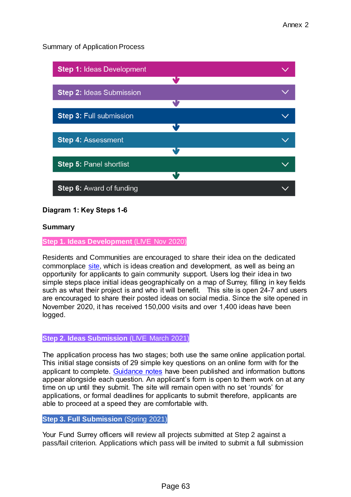Summary of Application Process



# **Diagram 1: Key Steps 1-6**

### **Summary**

**Step 1. Ideas Development (LIVE Nov 2020)** 

Residents and Communities are encouraged to share their idea on the dedicated commonplace [site,](https://yourfundsurreymap.commonplace.is/) which is ideas creation and development, as well as being an opportunity for applicants to gain community support. Users log their idea in two simple steps place initial ideas geographically on a map of Surrey, filling in key fields such as what their project is and who it will benefit. This site is open 24-7 and users are encouraged to share their posted ideas on social media. Since the site opened in November 2020, it has received 150,000 visits and over 1,400 ideas have been logged.

# **Step 2. Ideas Submission (LIVE March 2021)**

The application process has two stages; both use the same online application portal. This initial stage consists of 29 simple key questions on an online form with for the applicant to complete. [Guidance notes](https://www.surreycc.gov.uk/__data/assets/pdf_file/0019/253423/Idea-Submission-Help-and-Guidance.pdf) have been published and information buttons appear alongside each question. An applicant's form is open to them work on at any time on up until they submit. The site will remain open with no set 'rounds' for applications, or formal deadlines for applicants to submit therefore, applicants are able to proceed at a speed they are comfortable with.

#### **Step 3. Full Submission (Spring 2021)**

Your Fund Surrey officers will review all projects submitted at Step 2 against a pass/fail criterion. Applications which pass will be invited to submit a full submission